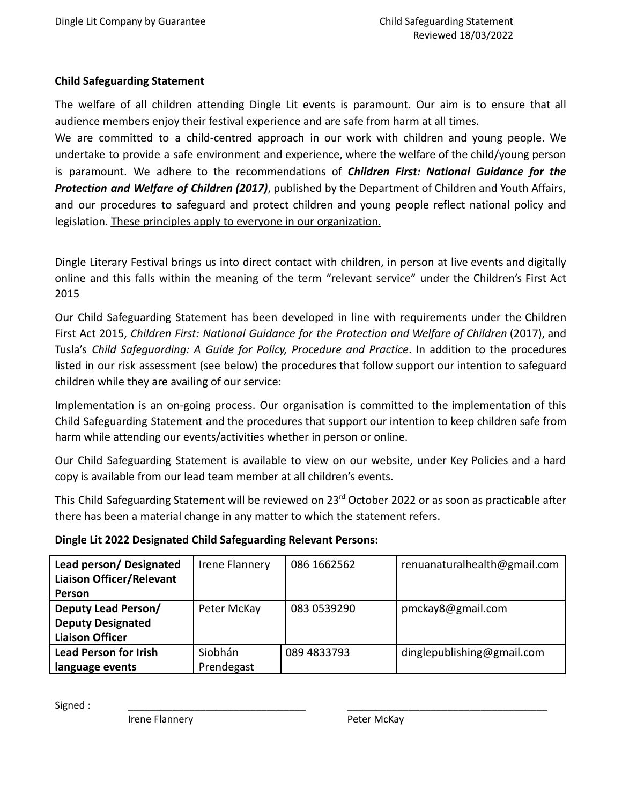# **Child Safeguarding Statement**

The welfare of all children attending Dingle Lit events is paramount. Our aim is to ensure that all audience members enjoy their festival experience and are safe from harm at all times.

We are committed to a child-centred approach in our work with children and young people. We undertake to provide a safe environment and experience, where the welfare of the child/young person is paramount. We adhere to the recommendations of *Children First: National Guidance for the Protection and Welfare of Children (2017)*, published by the Department of Children and Youth Affairs, and our procedures to safeguard and protect children and young people reflect national policy and legislation. These principles apply to everyone in our organization.

Dingle Literary Festival brings us into direct contact with children, in person at live events and digitally online and this falls within the meaning of the term "relevant service" under the Children's First Act 2015

Our Child Safeguarding Statement has been developed in line with requirements under the Children First Act 2015, *Children First: National Guidance for the Protection and Welfare of Children* (2017), and Tusla's *Child Safeguarding: A Guide for Policy, Procedure and Practice*. In addition to the procedures listed in our risk assessment (see below) the procedures that follow support our intention to safeguard children while they are availing of our service:

Implementation is an on-going process. Our organisation is committed to the implementation of this Child Safeguarding Statement and the procedures that support our intention to keep children safe from harm while attending our events/activities whether in person or online.

Our Child Safeguarding Statement is available to view on our website, under Key Policies and a hard copy is available from our lead team member at all children's events.

This Child Safeguarding Statement will be reviewed on 23<sup>rd</sup> October 2022 or as soon as practicable after there has been a material change in any matter to which the statement refers.

| Lead person/ Designated         | Irene Flannery | 086 1662562 | renuanaturalhealth@gmail.com |
|---------------------------------|----------------|-------------|------------------------------|
| <b>Liaison Officer/Relevant</b> |                |             |                              |
| Person                          |                |             |                              |
| Deputy Lead Person/             | Peter McKay    | 083 0539290 | pmckay8@gmail.com            |
| <b>Deputy Designated</b>        |                |             |                              |
| <b>Liaison Officer</b>          |                |             |                              |
| <b>Lead Person for Irish</b>    | Siobhán        | 089 4833793 | dinglepublishing@gmail.com   |
| language events                 | Prendegast     |             |                              |

Signed : \_\_\_\_\_\_\_\_\_\_\_\_\_\_\_\_\_\_\_\_\_\_\_\_\_\_\_\_\_\_\_\_ \_\_\_\_\_\_\_\_\_\_\_\_\_\_\_\_\_\_\_\_\_\_\_\_\_\_\_\_\_\_\_\_\_\_\_\_

Irene Flannery **Peter McKay**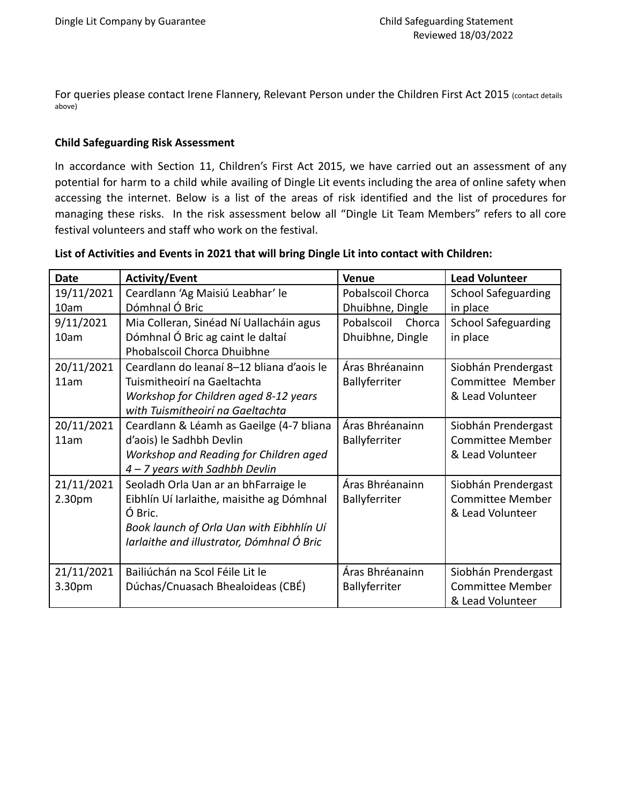For queries please contact Irene Flannery, Relevant Person under the Children First Act 2015 (contact details above)

## **Child Safeguarding Risk Assessment**

In accordance with Section 11, Children's First Act 2015, we have carried out an assessment of any potential for harm to a child while availing of Dingle Lit events including the area of online safety when accessing the internet. Below is a list of the areas of risk identified and the list of procedures for managing these risks. In the risk assessment below all "Dingle Lit Team Members" refers to all core festival volunteers and staff who work on the festival.

| List of Activities and Events in 2021 that will bring Dingle Lit into contact with Children: |
|----------------------------------------------------------------------------------------------|
|----------------------------------------------------------------------------------------------|

| <b>Date</b>          | <b>Activity/Event</b>                                                                                                                                                                 | <b>Venue</b>                             | <b>Lead Volunteer</b>                                              |
|----------------------|---------------------------------------------------------------------------------------------------------------------------------------------------------------------------------------|------------------------------------------|--------------------------------------------------------------------|
| 19/11/2021           | Ceardlann 'Ag Maisiú Leabhar' le                                                                                                                                                      | Pobalscoil Chorca                        | <b>School Safeguarding</b>                                         |
| 10am                 | Dómhnal Ó Bric                                                                                                                                                                        | Dhuibhne, Dingle                         | in place                                                           |
| 9/11/2021<br>10am    | Mia Colleran, Sinéad Ní Uallacháin agus<br>Dómhnal Ó Bric ag caint le daltaí<br>Phobalscoil Chorca Dhuibhne                                                                           | Pobalscoil<br>Chorca<br>Dhuibhne, Dingle | <b>School Safeguarding</b><br>in place                             |
| 20/11/2021<br>11am   | Ceardlann do leanaí 8-12 bliana d'aois le<br>Tuismitheoirí na Gaeltachta<br>Workshop for Children aged 8-12 years<br>with Tuismitheoirí na Gaeltachta                                 | Áras Bhréanainn<br>Ballyferriter         | Siobhán Prendergast<br>Committee Member<br>& Lead Volunteer        |
| 20/11/2021<br>11am   | Ceardlann & Léamh as Gaeilge (4-7 bliana<br>d'aois) le Sadhbh Devlin<br>Workshop and Reading for Children aged<br>4 - 7 years with Sadhbh Devlin                                      | Áras Bhréanainn<br>Ballyferriter         | Siobhán Prendergast<br><b>Committee Member</b><br>& Lead Volunteer |
| 21/11/2021<br>2.30pm | Seoladh Orla Uan ar an bhFarraige le<br>Eibhlín Uí Iarlaithe, maisithe ag Dómhnal<br>Ó Bric.<br>Book launch of Orla Uan with Eibhhlín Uí<br>Iarlaithe and illustrator, Dómhnal Ó Bric | Áras Bhréanainn<br>Ballyferriter         | Siobhán Prendergast<br><b>Committee Member</b><br>& Lead Volunteer |
| 21/11/2021<br>3.30pm | Bailiúchán na Scol Féile Lit le<br>Dúchas/Cnuasach Bhealoideas (CBÉ)                                                                                                                  | Áras Bhréanainn<br>Ballyferriter         | Siobhán Prendergast<br><b>Committee Member</b><br>& Lead Volunteer |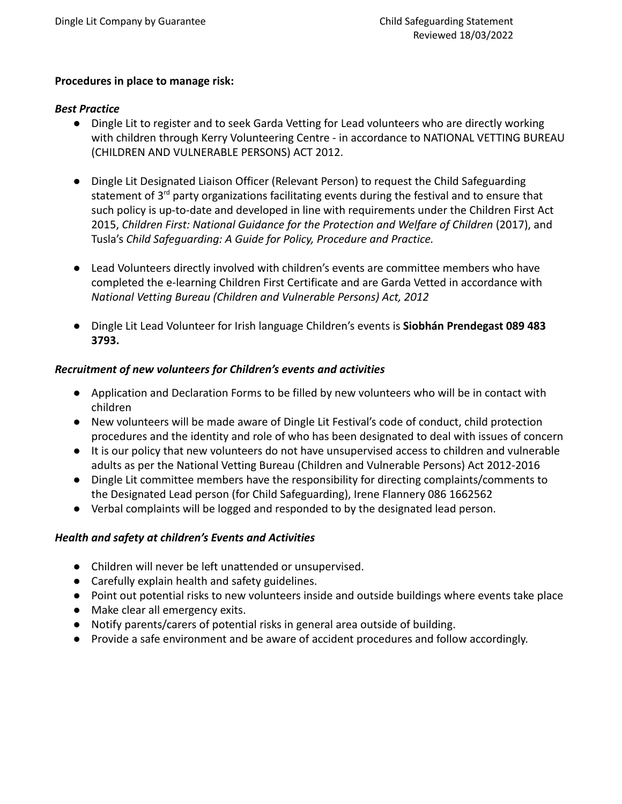#### **Procedures in place to manage risk:**

#### *Best Practice*

- *●* Dingle Lit to register and to seek Garda Vetting for Lead volunteers who are directly working with children through Kerry Volunteering Centre - in accordance to NATIONAL VETTING BUREAU (CHILDREN AND VULNERABLE PERSONS) ACT 2012.
- *●* Dingle Lit Designated Liaison Officer (Relevant Person) to request the Child Safeguarding statement of 3<sup>rd</sup> party organizations facilitating events during the festival and to ensure that such policy is up-to-date and developed in line with requirements under the Children First Act 2015, *Children First: National Guidance for the Protection and Welfare of Children* (2017), and Tusla's *Child Safeguarding: A Guide for Policy, Procedure and Practice.*
- *●* Lead Volunteers directly involved with children's events are committee members who have completed the e-learning Children First Certificate and are Garda Vetted in accordance with *National Vetting Bureau (Children and Vulnerable Persons) Act, 2012*
- Dingle Lit Lead Volunteer for Irish language Children's events is **Siobhán Prendegast 089 483 3793.**

## *Recruitment of new volunteers for Children's events and activities*

- Application and Declaration Forms to be filled by new volunteers who will be in contact with children
- *●* New volunteers will be made aware of Dingle Lit Festival's code of conduct, child protection procedures and the identity and role of who has been designated to deal with issues of concern
- It is our policy that new volunteers do not have unsupervised access to children and vulnerable adults as per the National Vetting Bureau (Children and Vulnerable Persons) Act 2012-2016
- Dingle Lit committee members have the responsibility for directing complaints/comments to the Designated Lead person (for Child Safeguarding), Irene Flannery 086 1662562
- *●* Verbal complaints will be logged and responded to by the designated lead person.

# *Health and safety at children's Events and Activities*

- Children will never be left unattended or unsupervised.
- Carefully explain health and safety guidelines.
- Point out potential risks to new volunteers inside and outside buildings where events take place
- Make clear all emergency exits.
- Notify parents/carers of potential risks in general area outside of building.
- Provide a safe environment and be aware of accident procedures and follow accordingly.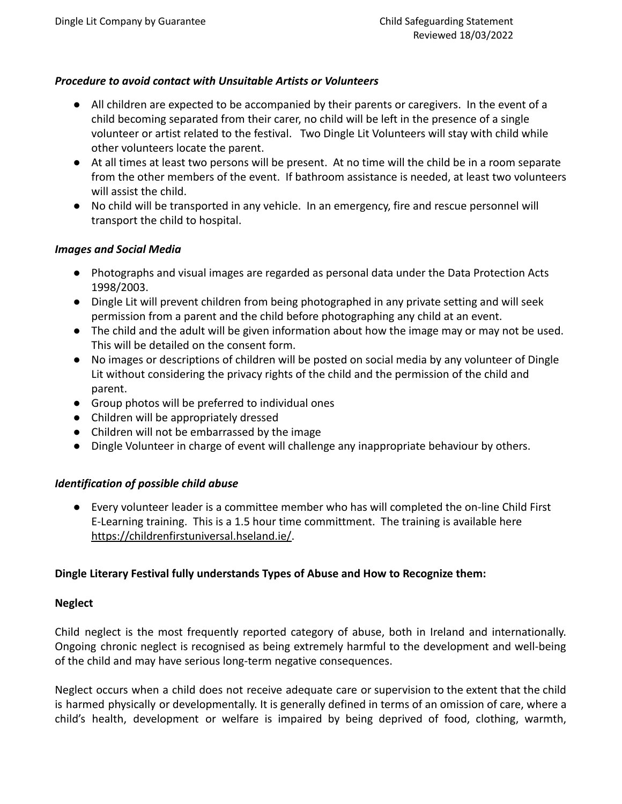## *Procedure to avoid contact with Unsuitable Artists or Volunteers*

- All children are expected to be accompanied by their parents or caregivers. In the event of a child becoming separated from their carer, no child will be left in the presence of a single volunteer or artist related to the festival. Two Dingle Lit Volunteers will stay with child while other volunteers locate the parent.
- At all times at least two persons will be present. At no time will the child be in a room separate from the other members of the event. If bathroom assistance is needed, at least two volunteers will assist the child.
- No child will be transported in any vehicle. In an emergency, fire and rescue personnel will transport the child to hospital.

#### *Images and Social Media*

- Photographs and visual images are regarded as personal data under the Data Protection Acts 1998/2003.
- Dingle Lit will prevent children from being photographed in any private setting and will seek permission from a parent and the child before photographing any child at an event.
- The child and the adult will be given information about how the image may or may not be used. This will be detailed on the consent form.
- No images or descriptions of children will be posted on social media by any volunteer of Dingle Lit without considering the privacy rights of the child and the permission of the child and parent.
- Group photos will be preferred to individual ones
- Children will be appropriately dressed
- Children will not be embarrassed by the image
- **●** Dingle Volunteer in charge of event will challenge any inappropriate behaviour by others.

# *Identification of possible child abuse*

**●** Every volunteer leader is a committee member who has will completed the on-line Child First E-Learning training. This is a 1.5 hour time committment. The training is available here [https://childrenfirstuniversal.hseland.ie/.](https://childrenfirstuniversal.hseland.ie/)

#### **Dingle Literary Festival fully understands Types of Abuse and How to Recognize them:**

#### **Neglect**

Child neglect is the most frequently reported category of abuse, both in Ireland and internationally. Ongoing chronic neglect is recognised as being extremely harmful to the development and well-being of the child and may have serious long-term negative consequences.

Neglect occurs when a child does not receive adequate care or supervision to the extent that the child is harmed physically or developmentally. It is generally defined in terms of an omission of care, where a child's health, development or welfare is impaired by being deprived of food, clothing, warmth,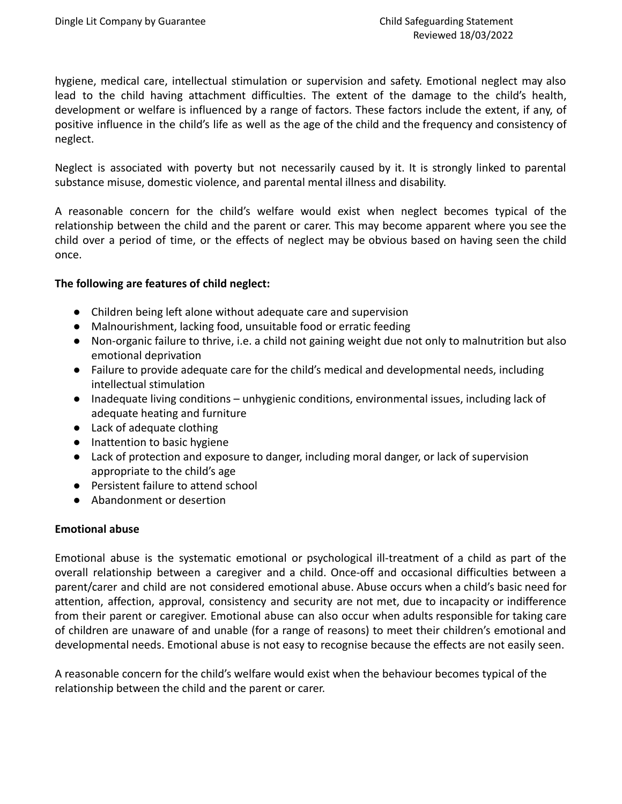hygiene, medical care, intellectual stimulation or supervision and safety. Emotional neglect may also lead to the child having attachment difficulties. The extent of the damage to the child's health, development or welfare is influenced by a range of factors. These factors include the extent, if any, of positive influence in the child's life as well as the age of the child and the frequency and consistency of neglect.

Neglect is associated with poverty but not necessarily caused by it. It is strongly linked to parental substance misuse, domestic violence, and parental mental illness and disability.

A reasonable concern for the child's welfare would exist when neglect becomes typical of the relationship between the child and the parent or carer. This may become apparent where you see the child over a period of time, or the effects of neglect may be obvious based on having seen the child once.

## **The following are features of child neglect:**

- Children being left alone without adequate care and supervision
- Malnourishment, lacking food, unsuitable food or erratic feeding
- Non-organic failure to thrive, i.e. a child not gaining weight due not only to malnutrition but also emotional deprivation
- Failure to provide adequate care for the child's medical and developmental needs, including intellectual stimulation
- Inadequate living conditions unhygienic conditions, environmental issues, including lack of adequate heating and furniture
- Lack of adequate clothing
- Inattention to basic hygiene
- Lack of protection and exposure to danger, including moral danger, or lack of supervision appropriate to the child's age
- Persistent failure to attend school
- Abandonment or desertion

# **Emotional abuse**

Emotional abuse is the systematic emotional or psychological ill-treatment of a child as part of the overall relationship between a caregiver and a child. Once-off and occasional difficulties between a parent/carer and child are not considered emotional abuse. Abuse occurs when a child's basic need for attention, affection, approval, consistency and security are not met, due to incapacity or indifference from their parent or caregiver. Emotional abuse can also occur when adults responsible for taking care of children are unaware of and unable (for a range of reasons) to meet their children's emotional and developmental needs. Emotional abuse is not easy to recognise because the effects are not easily seen.

A reasonable concern for the child's welfare would exist when the behaviour becomes typical of the relationship between the child and the parent or carer.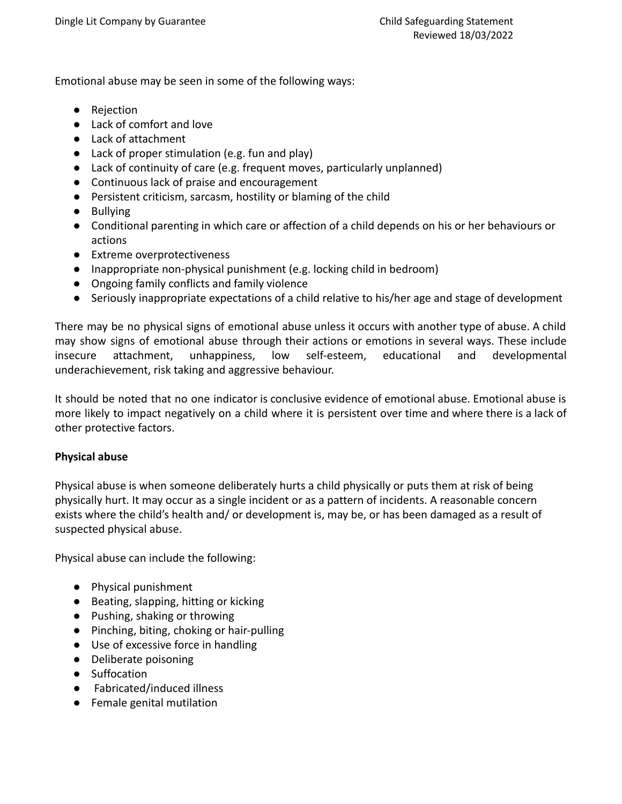Emotional abuse may be seen in some of the following ways:

- Rejection
- Lack of comfort and love
- Lack of attachment
- Lack of proper stimulation (e.g. fun and play)
- Lack of continuity of care (e.g. frequent moves, particularly unplanned)
- Continuous lack of praise and encouragement
- Persistent criticism, sarcasm, hostility or blaming of the child
- Bullying
- Conditional parenting in which care or affection of a child depends on his or her behaviours or actions
- Extreme overprotectiveness
- Inappropriate non-physical punishment (e.g. locking child in bedroom)
- Ongoing family conflicts and family violence
- Seriously inappropriate expectations of a child relative to his/her age and stage of development

There may be no physical signs of emotional abuse unless it occurs with another type of abuse. A child may show signs of emotional abuse through their actions or emotions in several ways. These include insecure attachment, unhappiness, low self-esteem, educational and developmental underachievement, risk taking and aggressive behaviour.

It should be noted that no one indicator is conclusive evidence of emotional abuse. Emotional abuse is more likely to impact negatively on a child where it is persistent over time and where there is a lack of other protective factors.

# **Physical abuse**

Physical abuse is when someone deliberately hurts a child physically or puts them at risk of being physically hurt. It may occur as a single incident or as a pattern of incidents. A reasonable concern exists where the child's health and/ or development is, may be, or has been damaged as a result of suspected physical abuse.

Physical abuse can include the following:

- Physical punishment
- Beating, slapping, hitting or kicking
- Pushing, shaking or throwing
- Pinching, biting, choking or hair-pulling
- Use of excessive force in handling
- Deliberate poisoning
- Suffocation
- Fabricated/induced illness
- Female genital mutilation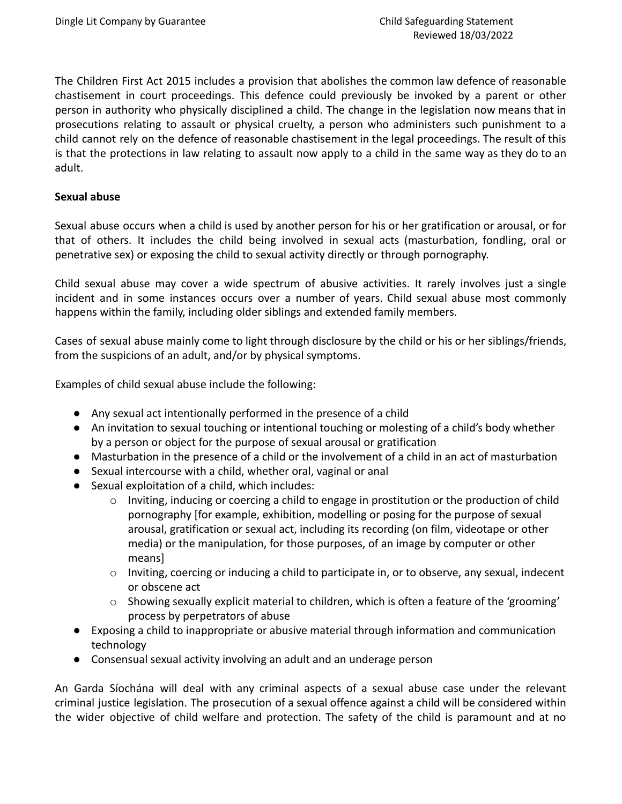The Children First Act 2015 includes a provision that abolishes the common law defence of reasonable chastisement in court proceedings. This defence could previously be invoked by a parent or other person in authority who physically disciplined a child. The change in the legislation now means that in prosecutions relating to assault or physical cruelty, a person who administers such punishment to a child cannot rely on the defence of reasonable chastisement in the legal proceedings. The result of this is that the protections in law relating to assault now apply to a child in the same way as they do to an adult.

## **Sexual abuse**

Sexual abuse occurs when a child is used by another person for his or her gratification or arousal, or for that of others. It includes the child being involved in sexual acts (masturbation, fondling, oral or penetrative sex) or exposing the child to sexual activity directly or through pornography.

Child sexual abuse may cover a wide spectrum of abusive activities. It rarely involves just a single incident and in some instances occurs over a number of years. Child sexual abuse most commonly happens within the family, including older siblings and extended family members.

Cases of sexual abuse mainly come to light through disclosure by the child or his or her siblings/friends, from the suspicions of an adult, and/or by physical symptoms.

Examples of child sexual abuse include the following:

- Any sexual act intentionally performed in the presence of a child
- An invitation to sexual touching or intentional touching or molesting of a child's body whether by a person or object for the purpose of sexual arousal or gratification
- Masturbation in the presence of a child or the involvement of a child in an act of masturbation
- Sexual intercourse with a child, whether oral, vaginal or anal
- Sexual exploitation of a child, which includes:
	- o Inviting, inducing or coercing a child to engage in prostitution or the production of child pornography [for example, exhibition, modelling or posing for the purpose of sexual arousal, gratification or sexual act, including its recording (on film, videotape or other media) or the manipulation, for those purposes, of an image by computer or other means]
	- $\circ$  Inviting, coercing or inducing a child to participate in, or to observe, any sexual, indecent or obscene act
	- $\circ$  Showing sexually explicit material to children, which is often a feature of the 'grooming' process by perpetrators of abuse
- Exposing a child to inappropriate or abusive material through information and communication technology
- Consensual sexual activity involving an adult and an underage person

An Garda Síochána will deal with any criminal aspects of a sexual abuse case under the relevant criminal justice legislation. The prosecution of a sexual offence against a child will be considered within the wider objective of child welfare and protection. The safety of the child is paramount and at no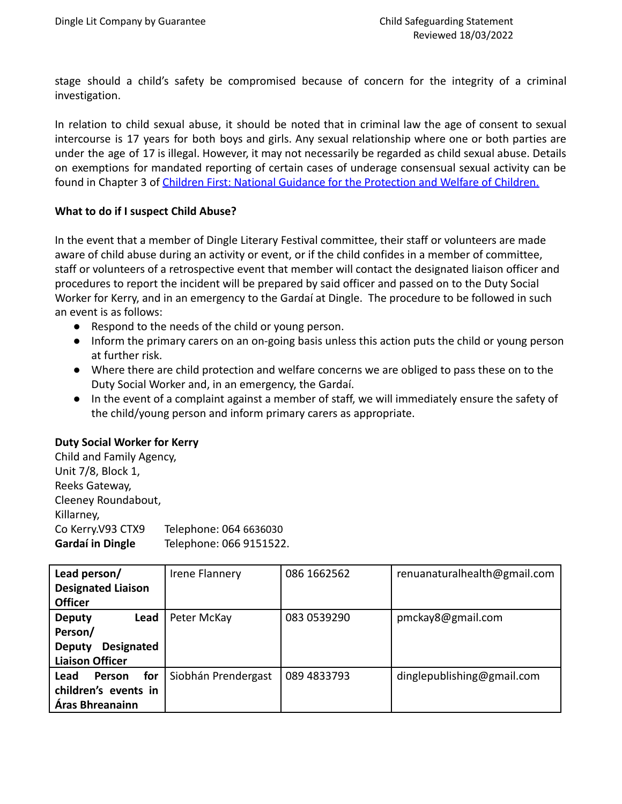stage should a child's safety be compromised because of concern for the integrity of a criminal investigation.

In relation to child sexual abuse, it should be noted that in criminal law the age of consent to sexual intercourse is 17 years for both boys and girls. Any sexual relationship where one or both parties are under the age of 17 is illegal. However, it may not necessarily be regarded as child sexual abuse. Details on exemptions for mandated reporting of certain cases of underage consensual sexual activity can be found in Chapter 3 of Children First: National Guidance [for the Protection and Welfare of Children.](https://www.tusla.ie/uploads/content/Children_First_National_Guidance_2017.pdf)

## **What to do if I suspect Child Abuse?**

In the event that a member of Dingle Literary Festival committee, their staff or volunteers are made aware of child abuse during an activity or event, or if the child confides in a member of committee, staff or volunteers of a retrospective event that member will contact the designated liaison officer and procedures to report the incident will be prepared by said officer and passed on to the Duty Social Worker for Kerry, and in an emergency to the Gardaí at Dingle. The procedure to be followed in such an event is as follows:

- Respond to the needs of the child or young person.
- Inform the primary carers on an on-going basis unless this action puts the child or young person at further risk.
- Where there are child protection and welfare concerns we are obliged to pass these on to the Duty Social Worker and, in an emergency, the Gardaí.
- In the event of a complaint against a member of staff, we will immediately ensure the safety of the child/young person and inform primary carers as appropriate.

# **Duty Social Worker for Kerry**

| Child and Family Agency, |                         |
|--------------------------|-------------------------|
| Unit 7/8, Block 1,       |                         |
| Reeks Gateway,           |                         |
| Cleeney Roundabout,      |                         |
| Killarney,               |                         |
| Co Kerry.V93 CTX9        | Telephone: 064 6636030  |
| Gardaí in Dingle         | Telephone: 066 9151522. |

| Lead person/                       | Irene Flannery      | 086 1662562 | renuanaturalhealth@gmail.com |
|------------------------------------|---------------------|-------------|------------------------------|
| <b>Designated Liaison</b>          |                     |             |                              |
| <b>Officer</b>                     |                     |             |                              |
| <b>Deputy</b><br>Lead              | Peter McKay         | 083 0539290 | pmckay8@gmail.com            |
| Person/                            |                     |             |                              |
| <b>Designated</b><br><b>Deputy</b> |                     |             |                              |
| <b>Liaison Officer</b>             |                     |             |                              |
| for<br>Lead<br><b>Person</b>       | Siobhán Prendergast | 089 4833793 | dinglepublishing@gmail.com   |
| children's events in               |                     |             |                              |
| Áras Bhreanainn                    |                     |             |                              |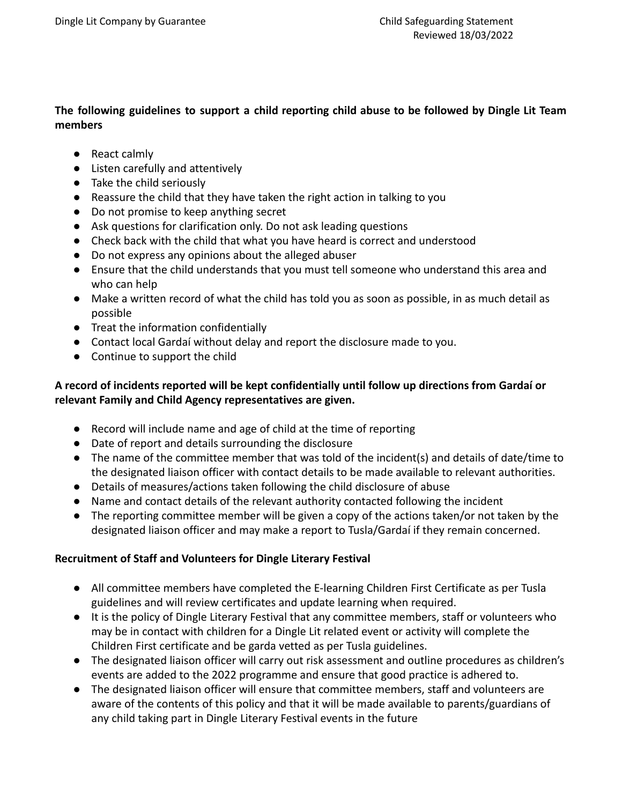# **The following guidelines to support a child reporting child abuse to be followed by Dingle Lit Team members**

- React calmly
- Listen carefully and attentively
- Take the child seriously
- Reassure the child that they have taken the right action in talking to you
- Do not promise to keep anything secret
- Ask questions for clarification only. Do not ask leading questions
- Check back with the child that what you have heard is correct and understood
- Do not express any opinions about the alleged abuser
- Ensure that the child understands that you must tell someone who understand this area and who can help
- Make a written record of what the child has told you as soon as possible, in as much detail as possible
- Treat the information confidentially
- Contact local Gardaí without delay and report the disclosure made to you.
- Continue to support the child

# **A record of incidents reported will be kept confidentially until follow up directions from Gardaí or relevant Family and Child Agency representatives are given.**

- Record will include name and age of child at the time of reporting
- Date of report and details surrounding the disclosure
- The name of the committee member that was told of the incident(s) and details of date/time to the designated liaison officer with contact details to be made available to relevant authorities.
- Details of measures/actions taken following the child disclosure of abuse
- Name and contact details of the relevant authority contacted following the incident
- The reporting committee member will be given a copy of the actions taken/or not taken by the designated liaison officer and may make a report to Tusla/Gardaí if they remain concerned.

# **Recruitment of Staff and Volunteers for Dingle Literary Festival**

- All committee members have completed the E-learning Children First Certificate as per Tusla guidelines and will review certificates and update learning when required.
- It is the policy of Dingle Literary Festival that any committee members, staff or volunteers who may be in contact with children for a Dingle Lit related event or activity will complete the Children First certificate and be garda vetted as per Tusla guidelines.
- The designated liaison officer will carry out risk assessment and outline procedures as children's events are added to the 2022 programme and ensure that good practice is adhered to.
- The designated liaison officer will ensure that committee members, staff and volunteers are aware of the contents of this policy and that it will be made available to parents/guardians of any child taking part in Dingle Literary Festival events in the future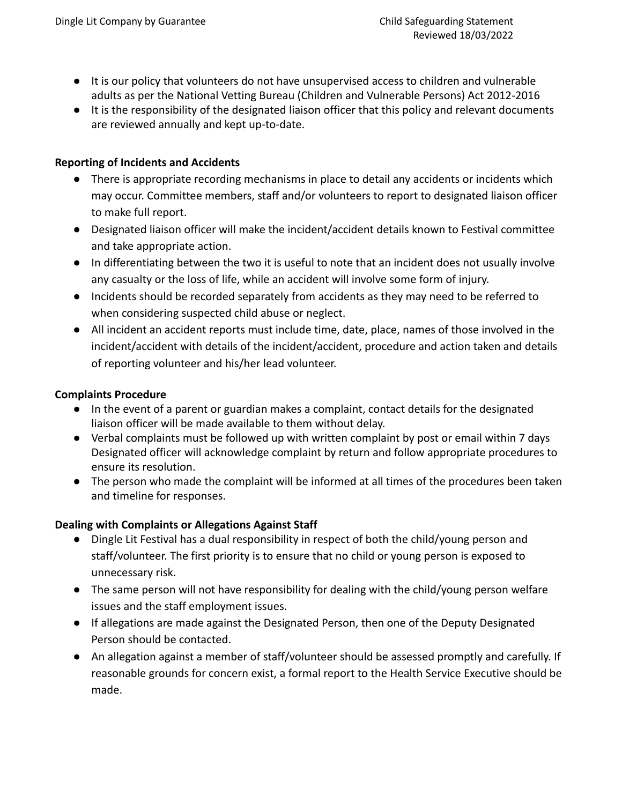- It is our policy that volunteers do not have unsupervised access to children and vulnerable adults as per the National Vetting Bureau (Children and Vulnerable Persons) Act 2012-2016
- It is the responsibility of the designated liaison officer that this policy and relevant documents are reviewed annually and kept up-to-date.

## **Reporting of Incidents and Accidents**

- There is appropriate recording mechanisms in place to detail any accidents or incidents which may occur. Committee members, staff and/or volunteers to report to designated liaison officer to make full report.
- Designated liaison officer will make the incident/accident details known to Festival committee and take appropriate action.
- In differentiating between the two it is useful to note that an incident does not usually involve any casualty or the loss of life, while an accident will involve some form of injury.
- Incidents should be recorded separately from accidents as they may need to be referred to when considering suspected child abuse or neglect.
- All incident an accident reports must include time, date, place, names of those involved in the incident/accident with details of the incident/accident, procedure and action taken and details of reporting volunteer and his/her lead volunteer.

## **Complaints Procedure**

- In the event of a parent or guardian makes a complaint, contact details for the designated liaison officer will be made available to them without delay.
- Verbal complaints must be followed up with written complaint by post or email within 7 days Designated officer will acknowledge complaint by return and follow appropriate procedures to ensure its resolution.
- The person who made the complaint will be informed at all times of the procedures been taken and timeline for responses.

# **Dealing with Complaints or Allegations Against Staff**

- Dingle Lit Festival has a dual responsibility in respect of both the child/young person and staff/volunteer. The first priority is to ensure that no child or young person is exposed to unnecessary risk.
- The same person will not have responsibility for dealing with the child/young person welfare issues and the staff employment issues.
- If allegations are made against the Designated Person, then one of the Deputy Designated Person should be contacted.
- An allegation against a member of staff/volunteer should be assessed promptly and carefully. If reasonable grounds for concern exist, a formal report to the Health Service Executive should be made.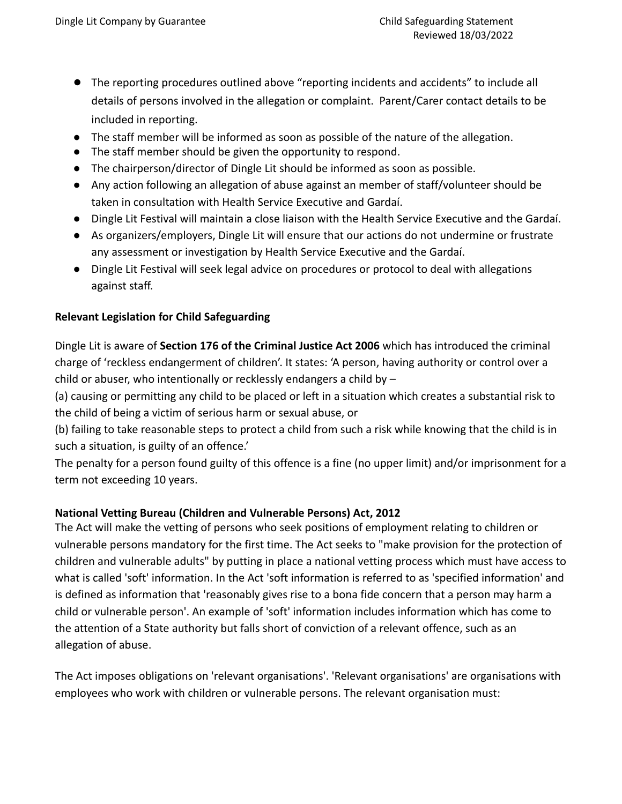- The reporting procedures outlined above "reporting incidents and accidents" to include all details of persons involved in the allegation or complaint. Parent/Carer contact details to be included in reporting.
- The staff member will be informed as soon as possible of the nature of the allegation.
- The staff member should be given the opportunity to respond.
- The chairperson/director of Dingle Lit should be informed as soon as possible.
- Any action following an allegation of abuse against an member of staff/volunteer should be taken in consultation with Health Service Executive and Gardaí.
- Dingle Lit Festival will maintain a close liaison with the Health Service Executive and the Gardaí.
- As organizers/employers, Dingle Lit will ensure that our actions do not undermine or frustrate any assessment or investigation by Health Service Executive and the Gardaí.
- Dingle Lit Festival will seek legal advice on procedures or protocol to deal with allegations against staff.

# **Relevant Legislation for Child Safeguarding**

Dingle Lit is aware of **Section 176 of the Criminal Justice Act 2006** which has introduced the criminal charge of 'reckless endangerment of children'. It states: 'A person, having authority or control over a child or abuser, who intentionally or recklessly endangers a child by –

(a) causing or permitting any child to be placed or left in a situation which creates a substantial risk to the child of being a victim of serious harm or sexual abuse, or

(b) failing to take reasonable steps to protect a child from such a risk while knowing that the child is in such a situation, is guilty of an offence.'

The penalty for a person found guilty of this offence is a fine (no upper limit) and/or imprisonment for a term not exceeding 10 years.

# **National Vetting Bureau (Children and Vulnerable Persons) Act, 2012**

The Act will make the vetting of persons who seek positions of employment relating to children or vulnerable persons mandatory for the first time. The Act seeks to "make provision for the protection of children and vulnerable adults" by putting in place a national vetting process which must have access to what is called 'soft' information. In the Act 'soft information is referred to as 'specified information' and is defined as information that 'reasonably gives rise to a bona fide concern that a person may harm a child or vulnerable person'. An example of 'soft' information includes information which has come to the attention of a State authority but falls short of conviction of a relevant offence, such as an allegation of abuse.

The Act imposes obligations on 'relevant organisations'. 'Relevant organisations' are organisations with employees who work with children or vulnerable persons. The relevant organisation must: